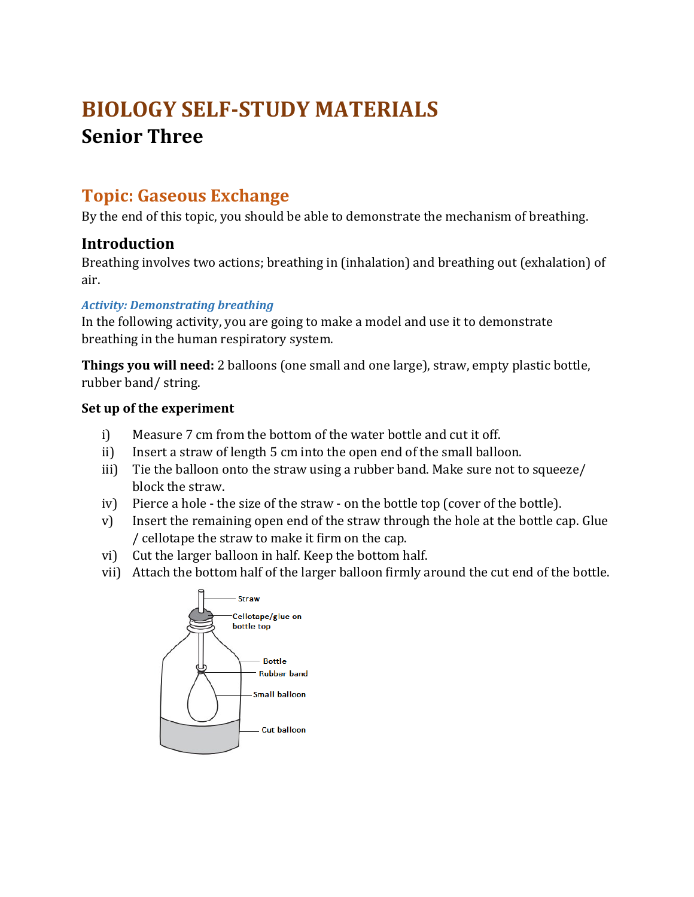# **BIOLOGY SELF-STUDY MATERIALS Senior Three**

# **Topic: Gaseous Exchange**

By the end of this topic, you should be able to demonstrate the mechanism of breathing.

# **Introduction**

Breathing involves two actions; breathing in (inhalation) and breathing out (exhalation) of air.

#### *Activity: Demonstrating breathing*

In the following activity, you are going to make a model and use it to demonstrate breathing in the human respiratory system.

**Things you will need:** 2 balloons (one small and one large), straw, empty plastic bottle, rubber band/ string.

#### **Set up of the experiment**

- i) Measure 7 cm from the bottom of the water bottle and cut it off.
- ii) Insert a straw of length 5 cm into the open end of the small balloon.
- iii) Tie the balloon onto the straw using a rubber band. Make sure not to squeeze/ block the straw.
- iv) Pierce a hole the size of the straw on the bottle top (cover of the bottle).
- v) Insert the remaining open end of the straw through the hole at the bottle cap. Glue / cellotape the straw to make it firm on the cap.
- vi) Cut the larger balloon in half. Keep the bottom half.
- vii) Attach the bottom half of the larger balloon firmly around the cut end of the bottle.